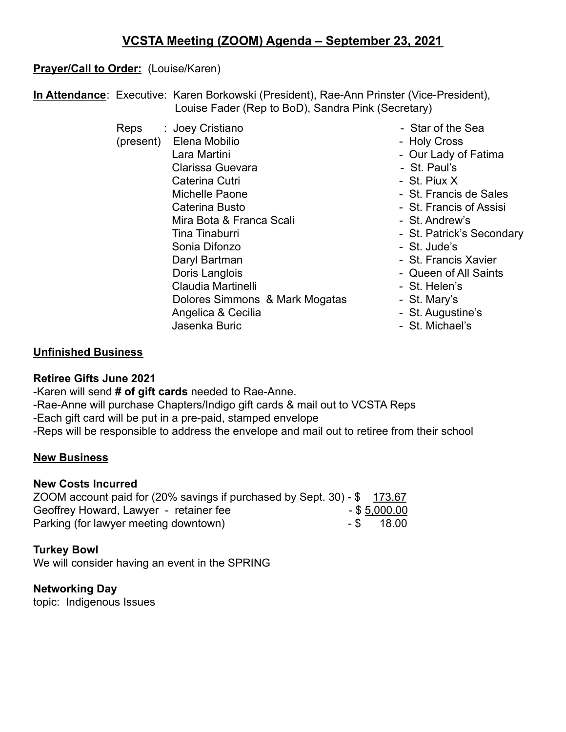# **Prayer/Call to Order:** (Louise/Karen)

**In Attendance**: Executive: Karen Borkowski (President), Rae-Ann Prinster (Vice-President), Louise Fader (Rep to BoD), Sandra Pink (Secretary)

- Reps : Joey Cristiano Star of the Sea (present) Elena Mobilio - Holy Cross Lara Martini - Our Lady of Fatima Clarissa Guevara **- St. Paul's** Caterina Cutri - Caterina Cutri - St. Piux X Michelle Paone **- St. Francis de Sales** Caterina Busto **Caterina Busto** - St. Francis of Assisi Mira Bota & Franca Scali - St. Andrew's Tina Tinaburri **- St. Patrick's Secondary** Sonia Difonzo - St. Jude's Daryl Bartman - St. Francis Xavier Doris Langlois **Call Accord Contract Contract Contract Contract Contract Contract Contract Contract Contract Contract Contract Contract Contract Contract Contract Contract Contract Contract Contract Contract Contract Contr** Claudia Martinelli **Album** - St. Helen's Dolores Simmons & Mark Mogatas - St. Mary's Angelica & Cecilia - St. Augustine's Jasenka Buric **Communist Communist Communist Communist Communist Communist Communist Communist Communist Communist Communist Communist Communist Communist Communist Communist Communist Communist Communist Communist Communi**
- -
	-
	-
	-
	-
	-
	-
	-
	-
	-
	-
	-
	-
	-
	-

## **Unfinished Business**

### **Retiree Gifts June 2021**

-Karen will send **# of gift cards** needed to Rae-Anne.

- -Rae-Anne will purchase Chapters/Indigo gift cards & mail out to VCSTA Reps
- -Each gift card will be put in a pre-paid, stamped envelope
- -Reps will be responsible to address the envelope and mail out to retiree from their school

### **New Business**

### **New Costs Incurred**

| ZOOM account paid for (20% savings if purchased by Sept. 30) - \$ 173.67 |                 |
|--------------------------------------------------------------------------|-----------------|
| Geoffrey Howard, Lawyer - retainer fee                                   | $-$ \$ 5,000.00 |
| Parking (for lawyer meeting downtown)                                    | $-$ \$ 18.00    |

### **Turkey Bowl**

We will consider having an event in the SPRING

### **Networking Day**

topic: Indigenous Issues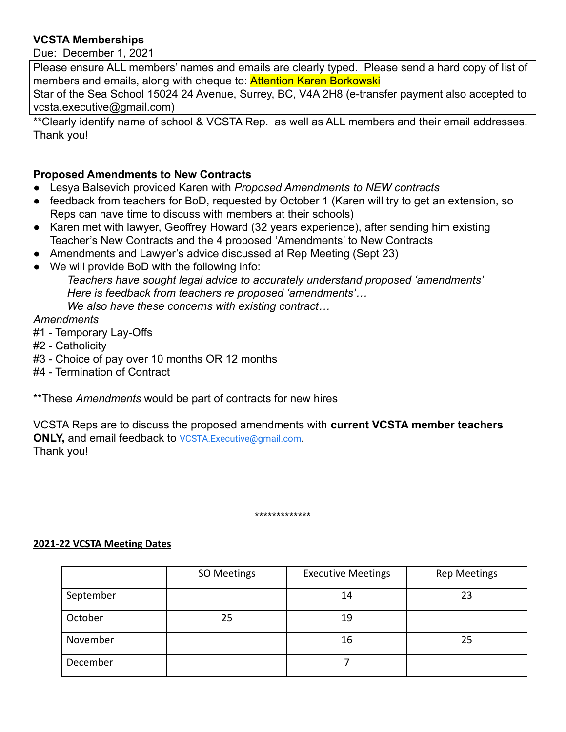### **VCSTA Memberships**

Due: December 1, 2021

Please ensure ALL members' names and emails are clearly typed. Please send a hard copy of list of members and emails, along with cheque to: **Attention Karen Borkowski** 

Star of the Sea School 15024 24 Avenue, Surrey, BC, V4A 2H8 (e-transfer payment also accepted to vcsta.executive@gmail.com)

\*\*Clearly identify name of school & VCSTA Rep. as well as ALL members and their email addresses. Thank you!

### **Proposed Amendments to New Contracts**

- Lesya Balsevich provided Karen with *Proposed Amendments to NEW contracts*
- feedback from teachers for BoD, requested by October 1 (Karen will try to get an extension, so Reps can have time to discuss with members at their schools)
- Karen met with lawyer, Geoffrey Howard (32 years experience), after sending him existing Teacher's New Contracts and the 4 proposed 'Amendments' to New Contracts
- Amendments and Lawyer's advice discussed at Rep Meeting (Sept 23)
- We will provide BoD with the following info: *Teachers have sought legal advice to accurately understand proposed 'amendments' Here is feedback from teachers re proposed 'amendments'… We also have these concerns with existing contract…*

#### *Amendments*

- #1 Temporary Lay-Offs
- #2 Catholicity
- #3 Choice of pay over 10 months OR 12 months
- #4 Termination of Contract

\*\*These *Amendments* would be part of contracts for new hires

VCSTA Reps are to discuss the proposed amendments with **current VCSTA member teachers ONLY, and email feedback to [VCSTA.Executive@gmail.com](mailto:VCSTA.Executive@gmail.com).** Thank you!

#### \*\*\*\*\*\*\*\*\*\*\*\*\*

#### **2021-22 VCSTA Meeting Dates**

|           | SO Meetings | <b>Executive Meetings</b> | <b>Rep Meetings</b> |
|-----------|-------------|---------------------------|---------------------|
| September |             | 14                        | 23                  |
| October   | 25          | 19                        |                     |
| November  |             | 16                        | 25                  |
| December  |             |                           |                     |